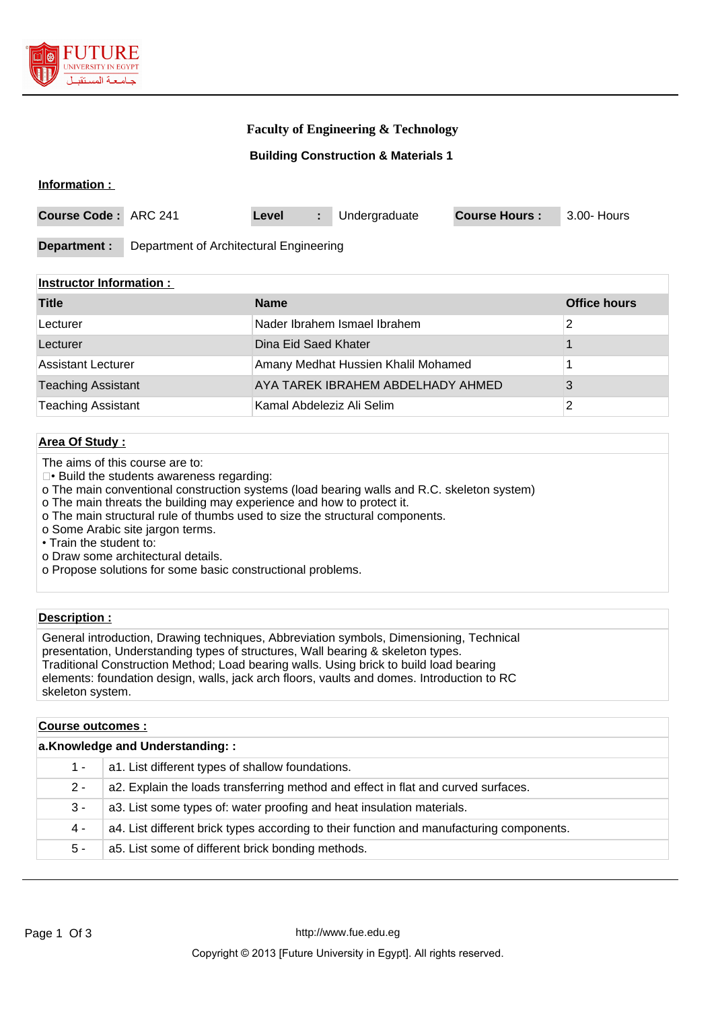

## **Faculty of Engineering & Technology**

### **Building Construction & Materials 1**

#### **Information :**

| <b>Course Code: ARC 241</b> |                                         | Level |  | Undergraduate | <b>Course Hours:</b> | $^{\circ}$ 3.00- Hours |
|-----------------------------|-----------------------------------------|-------|--|---------------|----------------------|------------------------|
|                             |                                         |       |  |               |                      |                        |
| Department :                | Department of Architectural Engineering |       |  |               |                      |                        |

#### **Instructor Information :**

| <b>Title</b>              | <b>Name</b>                         | <b>Office hours</b> |
|---------------------------|-------------------------------------|---------------------|
| Lecturer                  | Nader Ibrahem Ismael Ibrahem        |                     |
| Lecturer                  | Dina Eid Saed Khater                |                     |
| Assistant Lecturer        | Amany Medhat Hussien Khalil Mohamed |                     |
| <b>Teaching Assistant</b> | AYA TAREK IBRAHEM ABDELHADY AHMED   |                     |
| <b>Teaching Assistant</b> | Kamal Abdeleziz Ali Selim           |                     |

## **Area Of Study :**

- The aims of this course are to:
- Build the students awareness regarding:
- o The main conventional construction systems (load bearing walls and R.C. skeleton system)
- o The main threats the building may experience and how to protect it.
- o The main structural rule of thumbs used to size the structural components.
- o Some Arabic site jargon terms.
- Train the student to:
- o Draw some architectural details.
- o Propose solutions for some basic constructional problems.

## **Description :**

General introduction, Drawing techniques, Abbreviation symbols, Dimensioning, Technical presentation, Understanding types of structures, Wall bearing & skeleton types. Traditional Construction Method; Load bearing walls. Using brick to build load bearing elements: foundation design, walls, jack arch floors, vaults and domes. Introduction to RC skeleton system.

### **Course outcomes :**

| a.Knowledge and Understanding:: |                                                                                          |  |  |  |
|---------------------------------|------------------------------------------------------------------------------------------|--|--|--|
| 1 -                             | a1. List different types of shallow foundations.                                         |  |  |  |
| $2 -$                           | a2. Explain the loads transferring method and effect in flat and curved surfaces.        |  |  |  |
| $3 -$                           | a3. List some types of: water proofing and heat insulation materials.                    |  |  |  |
| 4 -                             | a4. List different brick types according to their function and manufacturing components. |  |  |  |
| 5 -                             | a5. List some of different brick bonding methods.                                        |  |  |  |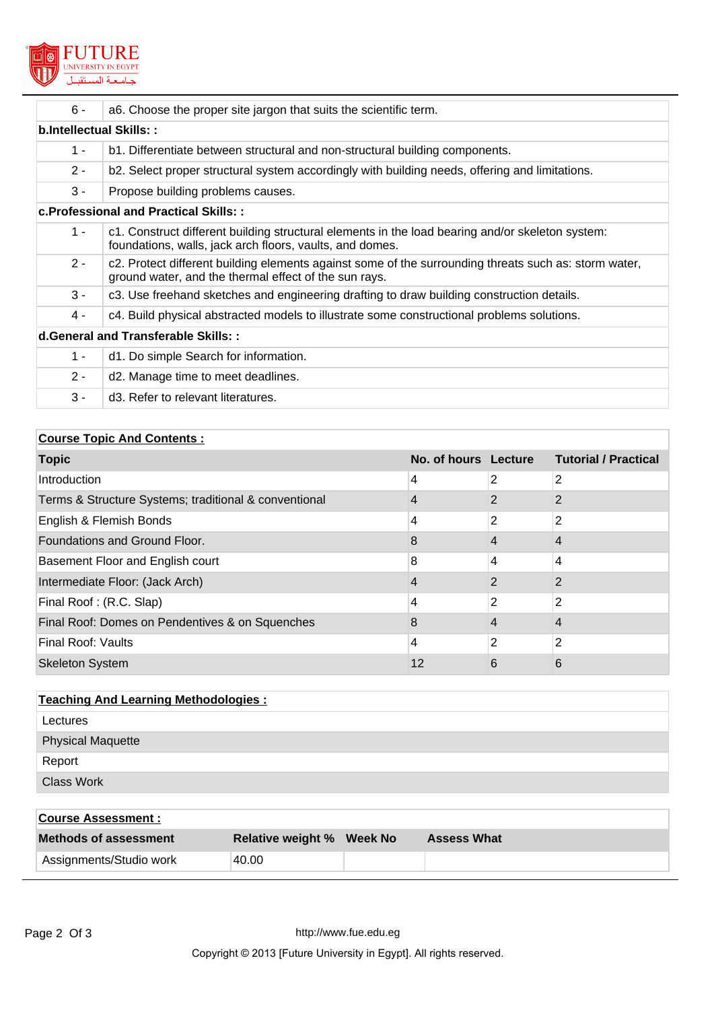

| $6 -$                          | a6. Choose the proper site jargon that suits the scientific term.                                                                                              |  |  |
|--------------------------------|----------------------------------------------------------------------------------------------------------------------------------------------------------------|--|--|
| <b>b.Intellectual Skills::</b> |                                                                                                                                                                |  |  |
| $1 -$                          | b1. Differentiate between structural and non-structural building components.                                                                                   |  |  |
| $2 -$                          | b2. Select proper structural system accordingly with building needs, offering and limitations.                                                                 |  |  |
| $3 -$                          | Propose building problems causes.                                                                                                                              |  |  |
|                                | c. Professional and Practical Skills::                                                                                                                         |  |  |
| $1 -$                          | c1. Construct different building structural elements in the load bearing and/or skeleton system:<br>foundations, walls, jack arch floors, vaults, and domes.   |  |  |
| $2 -$                          | c2. Protect different building elements against some of the surrounding threats such as: storm water,<br>ground water, and the thermal effect of the sun rays. |  |  |
| $3 -$                          | c3. Use freehand sketches and engineering drafting to draw building construction details.                                                                      |  |  |
| 4 -                            | c4. Build physical abstracted models to illustrate some constructional problems solutions.                                                                     |  |  |
|                                | d. General and Transferable Skills: :                                                                                                                          |  |  |
| $1 -$                          | d1. Do simple Search for information.                                                                                                                          |  |  |
| $2 -$                          | d2. Manage time to meet deadlines.                                                                                                                             |  |  |
| $3 -$                          | d3. Refer to relevant literatures.                                                                                                                             |  |  |

| <b>Course Topic And Contents:</b>                     |                      |   |                             |  |
|-------------------------------------------------------|----------------------|---|-----------------------------|--|
| <b>Topic</b>                                          | No. of hours Lecture |   | <b>Tutorial / Practical</b> |  |
| Introduction                                          | 4                    | 2 | 2                           |  |
| Terms & Structure Systems; traditional & conventional |                      |   |                             |  |
| English & Flemish Bonds                               | 4                    | 2 | 2                           |  |
| Foundations and Ground Floor.                         | 8                    | 4 | 4                           |  |
| Basement Floor and English court                      | 8                    | 4 | 4                           |  |
| Intermediate Floor: (Jack Arch)                       | 4                    | 2 | $\mathcal{P}$               |  |
| Final Roof: (R.C. Slap)                               | 4                    | 2 | 2                           |  |
| Final Roof: Domes on Pendentives & on Squenches       | 8                    |   | 4                           |  |
| <b>Final Roof: Vaults</b>                             | 4                    | 2 | 2                           |  |
| <b>Skeleton System</b>                                | 12                   | 6 | 6                           |  |

| <b>Teaching And Learning Methodologies:</b> |  |  |  |
|---------------------------------------------|--|--|--|
| Lectures                                    |  |  |  |
| <b>Physical Maquette</b>                    |  |  |  |
| Report                                      |  |  |  |
| <b>Class Work</b>                           |  |  |  |

| <b>Course Assessment :</b>   |                                  |                    |
|------------------------------|----------------------------------|--------------------|
| <b>Methods of assessment</b> | <b>Relative weight % Week No</b> | <b>Assess What</b> |
| Assignments/Studio work      | 40.00                            |                    |